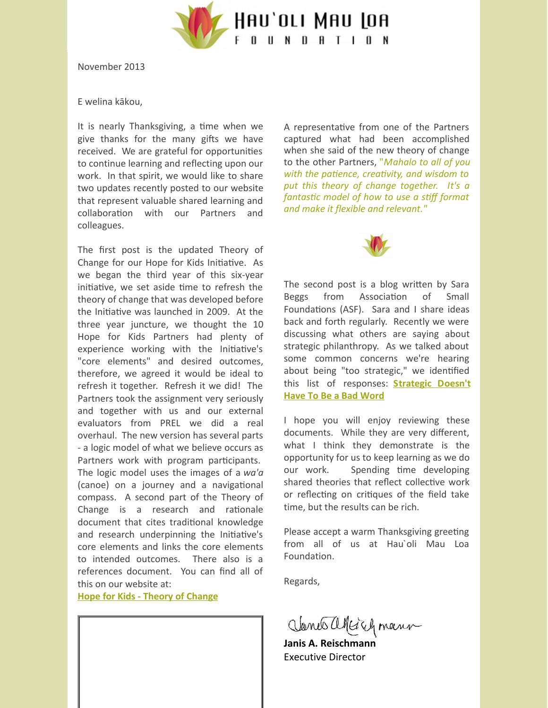

November 2013

## E welina kākou,

It is nearly Thanksgiving, a time when we give thanks for the many gifts we have received. We are grateful for opportunities to continue learning and reflecting upon our work. In that spirit, we would like to share two updates recently posted to our website that represent valuable shared learning and collaboration with our Partners and colleagues.

The first post is the updated Theory of Change for our Hope for Kids Initiative. As we began the third year of this six-year initiative, we set aside time to refresh the theory of change that was developed before the Initiative was launched in 2009. At the three year juncture, we thought the 10 Hope for Kids Partners had plenty of experience working with the Initiative's "core elements" and desired outcomes, therefore, we agreed it would be ideal to refresh it together. Refresh it we did! The Partners took the assignment very seriously and together with us and our external evaluators from PREL we did a real overhaul. The new version has several parts - a logic model of what we believe occurs as Partners work with program participants. The logic model uses the images of a *wa'a* (canoe) on a journey and a navigational compass. A second part of the Theory of Change is a research and rationale document that cites traditional knowledge and research underpinning the Initiative's core elements and links the core elements to intended outcomes. There also is a references document. You can find all of this on our website at:

**Hope for Kids - Theory of [Change](http://hauolimauloa.org/wp-content/uploads/2012/09/Final-Theory-of-Change-complete.pdf?utm_source=2.+Thanksgiving+Greetings_Nov+2013&utm_campaign=Constant+Contact%3A+About+Internships+7%2F18%2F13&utm_medium=email)**

A representative from one of the Partners captured what had been accomplished when she said of the new theory of change to the other Partners, "*Mahalo to all of you with the patience, creativity, and wisdom to put this theory of change together. It's a fantasc model of how to use a sff format and make it flexible and relevant."*



The second post is a blog written by Sara Beggs from Association of Small Foundations (ASF). Sara and I share ideas back and forth regularly. Recently we were discussing what others are saying about strategic philanthropy. As we talked about some common concerns we're hearing about being "too strategic," we identified this list of [responses:](http://hauolimauloa.org/wp-content/uploads/2012/09/Strategic-Isnt-A-Bad-Word-blog_final.pdf?utm_source=2.+Thanksgiving+Greetings_Nov+2013&utm_campaign=Constant+Contact%3A+About+Internships+7%2F18%2F13&utm_medium=email) **Strategic Doesn't Have To Be a Bad Word**

I hope you will enjoy reviewing these documents. While they are very different, what I think they demonstrate is the opportunity for us to keep learning as we do our work. Spending time developing shared theories that reflect collective work or reflecting on critiques of the field take time, but the results can be rich.

Please accept a warm Thanksgiving greeting from all of us at Hau`oli Mau Loa Foundation.

Regards,

Janes alleiry mann

**Janis A. Reischman** Executive Director